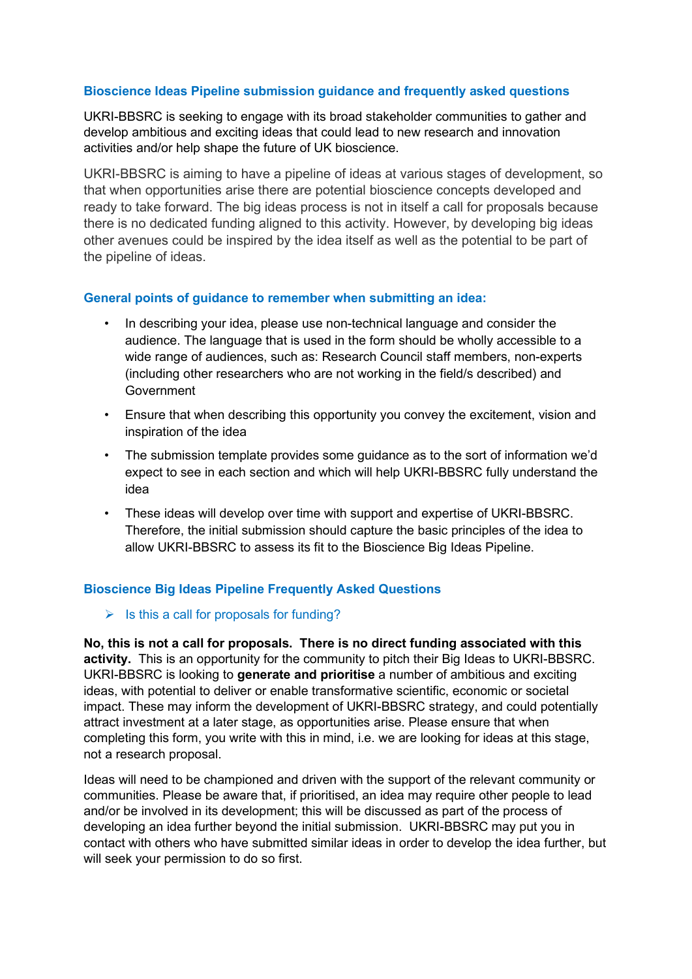## **Bioscience Ideas Pipeline submission guidance and frequently asked questions**

UKRI-BBSRC is seeking to engage with its broad stakeholder communities to gather and develop ambitious and exciting ideas that could lead to new research and innovation activities and/or help shape the future of UK bioscience.

UKRI-BBSRC is aiming to have a pipeline of ideas at various stages of development, so that when opportunities arise there are potential bioscience concepts developed and ready to take forward. The big ideas process is not in itself a call for proposals because there is no dedicated funding aligned to this activity. However, by developing big ideas other avenues could be inspired by the idea itself as well as the potential to be part of the pipeline of ideas.

## **General points of guidance to remember when submitting an idea:**

- In describing your idea, please use non-technical language and consider the audience. The language that is used in the form should be wholly accessible to a wide range of audiences, such as: Research Council staff members, non-experts (including other researchers who are not working in the field/s described) and **Government**
- Ensure that when describing this opportunity you convey the excitement, vision and inspiration of the idea
- The submission template provides some guidance as to the sort of information we'd expect to see in each section and which will help UKRI-BBSRC fully understand the idea
- These ideas will develop over time with support and expertise of UKRI-BBSRC. Therefore, the initial submission should capture the basic principles of the idea to allow UKRI-BBSRC to assess its fit to the Bioscience Big Ideas Pipeline.

# **Bioscience Big Ideas Pipeline Frequently Asked Questions**

## $\triangleright$  Is this a call for proposals for funding?

**No, this is not a call for proposals. There is no direct funding associated with this activity.** This is an opportunity for the community to pitch their Big Ideas to UKRI-BBSRC. UKRI-BBSRC is looking to **generate and prioritise** a number of ambitious and exciting ideas, with potential to deliver or enable transformative scientific, economic or societal impact. These may inform the development of UKRI-BBSRC strategy, and could potentially attract investment at a later stage, as opportunities arise. Please ensure that when completing this form, you write with this in mind, i.e. we are looking for ideas at this stage, not a research proposal.

Ideas will need to be championed and driven with the support of the relevant community or communities. Please be aware that, if prioritised, an idea may require other people to lead and/or be involved in its development; this will be discussed as part of the process of developing an idea further beyond the initial submission. UKRI-BBSRC may put you in contact with others who have submitted similar ideas in order to develop the idea further, but will seek your permission to do so first.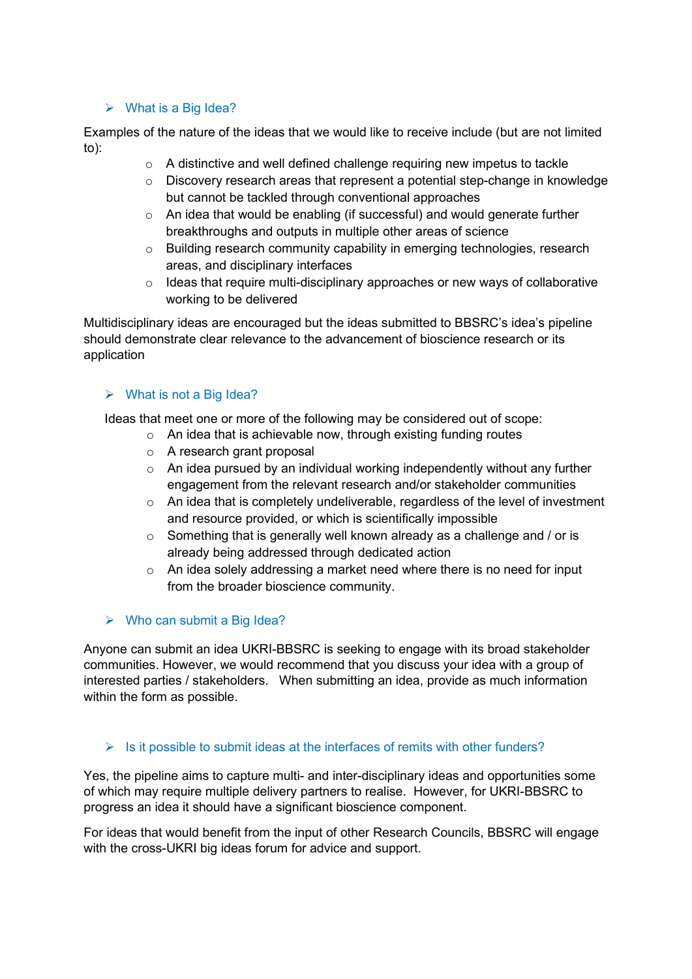## $\triangleright$  What is a Big Idea?

Examples of the nature of the ideas that we would like to receive include (but are not limited to):

- o A distinctive and well defined challenge requiring new impetus to tackle
- o Discovery research areas that represent a potential step-change in knowledge but cannot be tackled through conventional approaches
- o An idea that would be enabling (if successful) and would generate further breakthroughs and outputs in multiple other areas of science
- $\circ$  Building research community capability in emerging technologies, research areas, and disciplinary interfaces
- $\circ$  Ideas that require multi-disciplinary approaches or new ways of collaborative working to be delivered

Multidisciplinary ideas are encouraged but the ideas submitted to BBSRC's idea's pipeline should demonstrate clear relevance to the advancement of bioscience research or its application

## $\triangleright$  What is not a Big Idea?

Ideas that meet one or more of the following may be considered out of scope:

- o An idea that is achievable now, through existing funding routes
- o A research grant proposal
- o An idea pursued by an individual working independently without any further engagement from the relevant research and/or stakeholder communities
- $\circ$  An idea that is completely undeliverable, regardless of the level of investment and resource provided, or which is scientifically impossible
- o Something that is generally well known already as a challenge and / or is already being addressed through dedicated action
- $\circ$  An idea solely addressing a market need where there is no need for input from the broader bioscience community.

## $\triangleright$  Who can submit a Big Idea?

Anyone can submit an idea UKRI-BBSRC is seeking to engage with its broad stakeholder communities. However, we would recommend that you discuss your idea with a group of interested parties / stakeholders. When submitting an idea, provide as much information within the form as possible.

# $\triangleright$  Is it possible to submit ideas at the interfaces of remits with other funders?

Yes, the pipeline aims to capture multi- and inter-disciplinary ideas and opportunities some of which may require multiple delivery partners to realise. However, for UKRI-BBSRC to progress an idea it should have a significant bioscience component.

For ideas that would benefit from the input of other Research Councils, BBSRC will engage with the cross-UKRI big ideas forum for advice and support.